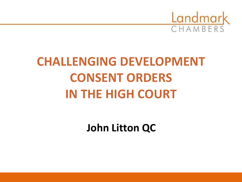

## **CHALLENGING DEVELOPMENT CONSENT ORDERS IN THE HIGH COURT**

**John Litton QC**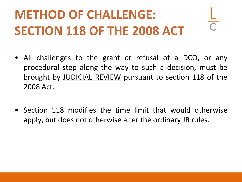## **METHOD OF CHALLENGE: SECTION 118 OF THE 2008 ACT**

- All challenges to the grant or refusal of a DCO, or any procedural step along the way to such a decision, must be brought by JUDICIAL REVIEW pursuant to section 118 of the 2008 Act.
- Section 118 modifies the time limit that would otherwise apply, but does not otherwise alter the ordinary JR rules.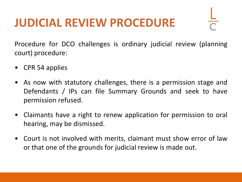## **JUDICIAL REVIEW PROCEDURE**



Procedure for DCO challenges is ordinary judicial review (planning court) procedure:

- CPR 54 applies
- As now with statutory challenges, there is a permission stage and Defendants / IPs can file Summary Grounds and seek to have permission refused.
- Claimants have a right to renew application for permission to oral hearing, may be dismissed.
- Court is not involved with merits, claimant must show error of law or that one of the grounds for judicial review is made out.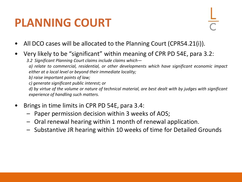## **PLANNING COURT**



- All DCO cases will be allocated to the Planning Court (CPR54.21(i)).
- Very likely to be "significant" within meaning of CPR PD 54E, para 3.2:
	- *3.2 Significant Planning Court claims include claims which—*

*a) relate to commercial, residential, or other developments which have significant economic impact either at a local level or beyond their immediate locality;*

*b) raise important points of law;*

*c) generate significant public interest; or*

d) by virtue of the volume or nature of technical material, are best dealt with by judges with significant *experience of handling such matters.*

- Brings in time limits in CPR PD 54E, para 3.4:
	- Paper permission decision within 3 weeks of AOS;
	- Oral renewal hearing within 1 month of renewal application.
	- Substantive JR hearing within 10 weeks of time for Detailed Grounds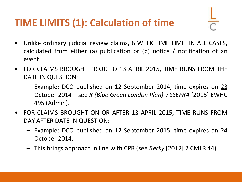### **TIME LIMITS (1): Calculation of time**

- Unlike ordinary judicial review claims, 6 WEEK TIME LIMIT IN ALL CASES, calculated from either (a) publication or (b) notice / notification of an event.
- FOR CLAIMS BROUGHT PRIOR TO 13 APRIL 2015, TIME RUNS FROM THE DATE IN QUESTION:
	- Example: DCO published on 12 September 2014, time expires on 23 October 2014 – see *R (Blue Green London Plan) v SSEFRA* [2015] EWHC 495 (Admin).
- FOR CLAIMS BROUGHT ON OR AFTER 13 APRIL 2015, TIME RUNS FROM DAY AFTER DATE IN QUESTION:
	- Example: DCO published on 12 September 2015, time expires on 24 October 2014.
	- This brings approach in line with CPR (see *Berky* [2012] 2 CMLR 44)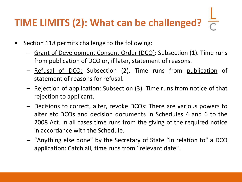## **TIME LIMITS (2): What can be challenged?**

- Section 118 permits challenge to the following:
	- Grant of Development Consent Order (DCO): Subsection (1). Time runs from publication of DCO or, if later, statement of reasons.
	- Refusal of DCO: Subsection (2). Time runs from publication of statement of reasons for refusal.
	- Rejection of application: Subsection (3). Time runs from notice of that rejection to applicant.
	- Decisions to correct, alter, revoke DCOs: There are various powers to alter etc DCOs and decision documents in Schedules 4 and 6 to the 2008 Act. In all cases time runs from the giving of the required notice in accordance with the Schedule.
	- "Anything else done" by the Secretary of State "in relation to" a DCO application: Catch all, time runs from "relevant date".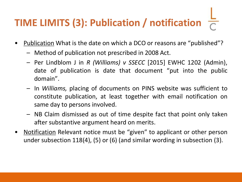## **TIME LIMITS (3): Publication / notification**

- Publication What is the date on which a DCO or reasons are "published"?
	- Method of publication not prescribed in 2008 Act.
	- Per Lindblom J in *R (Williams) v SSECC* [2015] EWHC 1202 (Admin), date of publication is date that document "put into the public domain".
	- In *Williams,* placing of documents on PINS website was sufficient to constitute publication, at least together with email notification on same day to persons involved.
	- NB Claim dismissed as out of time despite fact that point only taken after substantive argument heard on merits.
- Notification Relevant notice must be "given" to applicant or other person under subsection 118(4), (5) or (6) (and similar wording in subsection (3).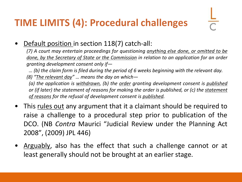#### **TIME LIMITS (4): Procedural challenges**

• Default position in section 118(7) catch-all:

*(7) A court may entertain proceedings for questioning anything else done, or omitted to be done, by the Secretary of State or the Commission in relation to an application for an order granting development consent only if—*

*… (b) the claim form is filed during the period of 6 weeks beginning with the relevant day. (8) "The relevant day" … means the day on which—*

*(a) the application is withdrawn, (b) the order granting development consent is published or (if later) the statement of reasons for making the order is published, or (c) the statement of reasons for the refusal of development consent is published.*

- This rules out any argument that it a claimant should be required to raise a challenge to a procedural step prior to publication of the DCO. (NB *Contra* Maurici "Judicial Review under the Planning Act 2008", (2009) JPL 446)
- Arguably, also has the effect that such a challenge cannot or at least generally should not be brought at an earlier stage.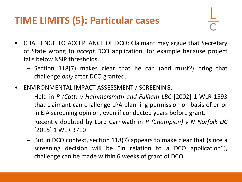#### **TIME LIMITS (5): Particular cases**

- CHALLENGE TO ACCEPTANCE OF DCO: Claimant may argue that Secretary of State wrong to *accept* DCO application, for example because project falls below NSIP thresholds.
	- Section 118(7) makes clear that he can (and must?) bring that challenge *only* after DCO granted.
- ENVIRONMENTAL IMPACT ASSESSMENT / SCREENING:
	- Held in *R (Catt) v Hammersmith and Fulham LBC* [2002] 1 WLR 1593 that claimant can challenge LPA planning permission on basis of error in EIA screening opinion, even if conducted years before grant.
	- Recently doubted by Lord Carnwath in *R (Champion) v N Norfolk DC* [2015] 1 WLR 3710
	- But in DCO context, section 118(7) appears to make clear that (since a screening decision will be "in relation to a DCO application"), challenge can be made within 6 weeks of grant of DCO.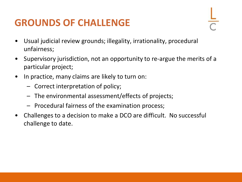#### **GROUNDS OF CHALLENGE**



- Usual judicial review grounds; illegality, irrationality, procedural unfairness;
- Supervisory jurisdiction, not an opportunity to re-argue the merits of a particular project;
- In practice, many claims are likely to turn on:
	- Correct interpretation of policy;
	- The environmental assessment/effects of projects;
	- Procedural fairness of the examination process;
- Challenges to a decision to make a DCO are difficult. No successful challenge to date.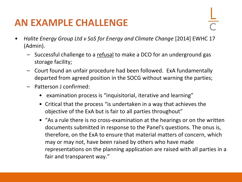#### **AN EXAMPLE CHALLENGE**

- 
- *Halite Energy Group Ltd v SoS for Energy and Climate Change* [2014] EWHC 17 (Admin).
	- Successful challenge to a refusal to make a DCO for an underground gas storage facility;
	- Court found an unfair procedure had been followed. ExA fundamentally departed from agreed position in the SOCG without warning the parties;
	- Patterson J confirmed:
		- examination process is "inquisitorial, iterative and learning"
		- Critical that the process "is undertaken in a way that achieves the objective of the ExA but is fair to all parties throughout"
		- "As a rule there is no cross-examination at the hearings or on the written documents submitted in response to the Panel's questions. The onus is, therefore, on the ExA to ensure that material matters of concern, which may or may not, have been raised by others who have made representations on the planning application are raised with all parties in a fair and transparent way."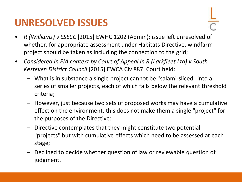#### **UNRESOLVED ISSUES**

- *R (Williams) v SSECC* [2015] EWHC 1202 (Admin): issue left unresolved of whether, for appropriate assessment under Habitats Directive, windfarm project should be taken as including the connection to the grid;
- *Considered in EIA context by Court of Appeal in R (Larkfleet Ltd) v South Kesteven District Council* [2015] EWCA Civ 887. Court held:
	- What is in substance a single project cannot be "salami-sliced" into a series of smaller projects, each of which falls below the relevant threshold criteria;
	- However, just because two sets of proposed works may have a cumulative effect on the environment, this does not make them a single "project" for the purposes of the Directive:
	- Directive contemplates that they might constitute two potential "projects" but with cumulative effects which need to be assessed at each stage;
	- Declined to decide whether question of law or reviewable question of judgment.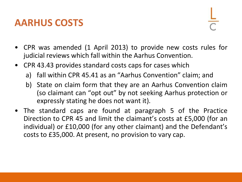#### **AARHUS COSTS**

- CPR was amended (1 April 2013) to provide new costs rules for judicial reviews which fall within the Aarhus Convention.
- CPR 43.43 provides standard costs caps for cases which
	- a) fall within CPR 45.41 as an "Aarhus Convention" claim; and
	- b) State on claim form that they are an Aarhus Convention claim (so claimant can "opt out" by not seeking Aarhus protection or expressly stating he does not want it).
- The standard caps are found at paragraph 5 of the Practice Direction to CPR 45 and limit the claimant's costs at £5,000 (for an individual) or £10,000 (for any other claimant) and the Defendant's costs to £35,000. At present, no provision to vary cap.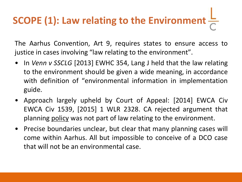# **SCOPE (1): Law relating to the Environment**

The Aarhus Convention, Art 9, requires states to ensure access to justice in cases involving "law relating to the environment".

- In *Venn v SSCLG* [2013] EWHC 354, Lang J held that the law relating to the environment should be given a wide meaning, in accordance with definition of "environmental information in implementation guide.
- Approach largely upheld by Court of Appeal: [2014] EWCA Civ EWCA Civ 1539, [2015] 1 WLR 2328. CA rejected argument that planning policy was not part of law relating to the environment.
- Precise boundaries unclear, but clear that many planning cases will come within Aarhus. All but impossible to conceive of a DCO case that will not be an environmental case.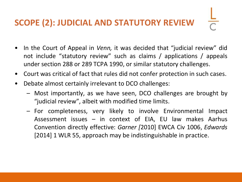#### **SCOPE (2): JUDICIAL AND STATUTORY REVIEW**

- In the Court of Appeal in *Venn,* it was decided that "judicial review" did not include "statutory review" such as claims / applications / appeals under section 288 or 289 TCPA 1990, or similar statutory challenges.
- Court was critical of fact that rules did not confer protection in such cases.
- Debate almost certainly irrelevant to DCO challenges:
	- Most importantly, as we have seen, DCO challenges are brought by "judicial review", albeit with modified time limits.
	- For completeness, very likely to involve Environmental Impact Assessment issues – in context of EIA, EU law makes Aarhus Convention directly effective: *Garner [*2010] EWCA Civ 1006, *Edwards* [2014] 1 WLR 55, approach may be indistinguishable in practice.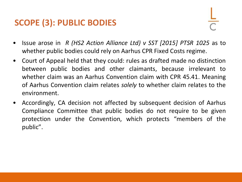#### **SCOPE (3): PUBLIC BODIES**

- Issue arose in *R (HS2 Action Alliance Ltd) v SST [2015] PTSR 1025* as to whether public bodies could rely on Aarhus CPR Fixed Costs regime.
- Court of Appeal held that they could: rules as drafted made no distinction between public bodies and other claimants, because irrelevant to whether claim was an Aarhus Convention claim with CPR 45.41. Meaning of Aarhus Convention claim relates *solely* to whether claim relates to the environment.
- Accordingly, CA decision not affected by subsequent decision of Aarhus Compliance Committee that public bodies do not require to be given protection under the Convention, which protects "members of the public".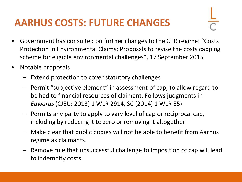#### **AARHUS COSTS: FUTURE CHANGES**

- Government has consulted on further changes to the CPR regime: "Costs Protection in Environmental Claims: Proposals to revise the costs capping scheme for eligible environmental challenges", 17 September 2015
- Notable proposals
	- Extend protection to cover statutory challenges
	- Permit "subjective element" in assessment of cap, to allow regard to be had to financial resources of claimant. Follows judgments in *Edwards* (CJEU: 2013] 1 WLR 2914, SC [2014] 1 WLR 55).
	- Permits any party to apply to vary level of cap or reciprocal cap, including by reducing it to zero or removing it altogether.
	- Make clear that public bodies will not be able to benefit from Aarhus regime as claimants.
	- Remove rule that unsuccessful challenge to imposition of cap will lead to indemnity costs.